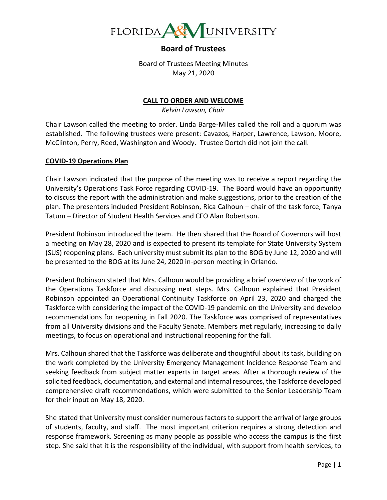

Board of Trustees Meeting Minutes May 21, 2020

#### **CALL TO ORDER AND WELCOME**

*Kelvin Lawson, Chair*

Chair Lawson called the meeting to order. Linda Barge-Miles called the roll and a quorum was established. The following trustees were present: Cavazos, Harper, Lawrence, Lawson, Moore, McClinton, Perry, Reed, Washington and Woody. Trustee Dortch did not join the call.

#### **COVID-19 Operations Plan**

Chair Lawson indicated that the purpose of the meeting was to receive a report regarding the University's Operations Task Force regarding COVID-19. The Board would have an opportunity to discuss the report with the administration and make suggestions, prior to the creation of the plan. The presenters included President Robinson, Rica Calhoun – chair of the task force, Tanya Tatum – Director of Student Health Services and CFO Alan Robertson.

President Robinson introduced the team. He then shared that the Board of Governors will host a meeting on May 28, 2020 and is expected to present its template for State University System (SUS) reopening plans. Each university must submit its plan to the BOG by June 12, 2020 and will be presented to the BOG at its June 24, 2020 in-person meeting in Orlando.

President Robinson stated that Mrs. Calhoun would be providing a brief overview of the work of the Operations Taskforce and discussing next steps. Mrs. Calhoun explained that President Robinson appointed an Operational Continuity Taskforce on April 23, 2020 and charged the Taskforce with considering the impact of the COVID-19 pandemic on the University and develop recommendations for reopening in Fall 2020. The Taskforce was comprised of representatives from all University divisions and the Faculty Senate. Members met regularly, increasing to daily meetings, to focus on operational and instructional reopening for the fall.

Mrs. Calhoun shared that the Taskforce was deliberate and thoughtful about its task, building on the work completed by the University Emergency Management Incidence Response Team and seeking feedback from subject matter experts in target areas. After a thorough review of the solicited feedback, documentation, and external and internal resources, the Taskforce developed comprehensive draft recommendations, which were submitted to the Senior Leadership Team for their input on May 18, 2020.

She stated that University must consider numerous factors to support the arrival of large groups of students, faculty, and staff. The most important criterion requires a strong detection and response framework. Screening as many people as possible who access the campus is the first step. She said that it is the responsibility of the individual, with support from health services, to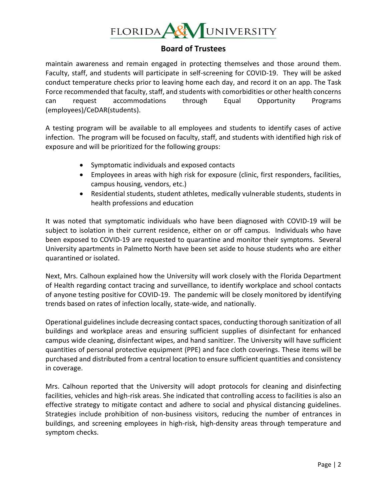

maintain awareness and remain engaged in protecting themselves and those around them. Faculty, staff, and students will participate in self-screening for COVID-19. They will be asked conduct temperature checks prior to leaving home each day, and record it on an app. The Task Force recommended that faculty, staff, and students with comorbidities or other health concerns can request accommodations through Equal Opportunity Programs (employees)/CeDAR(students).

A testing program will be available to all employees and students to identify cases of active infection. The program will be focused on faculty, staff, and students with identified high risk of exposure and will be prioritized for the following groups:

- Symptomatic individuals and exposed contacts
- Employees in areas with high risk for exposure (clinic, first responders, facilities, campus housing, vendors, etc.)
- Residential students, student athletes, medically vulnerable students, students in health professions and education

It was noted that symptomatic individuals who have been diagnosed with COVID-19 will be subject to isolation in their current residence, either on or off campus. Individuals who have been exposed to COVID-19 are requested to quarantine and monitor their symptoms. Several University apartments in Palmetto North have been set aside to house students who are either quarantined or isolated.

Next, Mrs. Calhoun explained how the University will work closely with the Florida Department of Health regarding contact tracing and surveillance, to identify workplace and school contacts of anyone testing positive for COVID-19. The pandemic will be closely monitored by identifying trends based on rates of infection locally, state-wide, and nationally.

Operational guidelines include decreasing contact spaces, conducting thorough sanitization of all buildings and workplace areas and ensuring sufficient supplies of disinfectant for enhanced campus wide cleaning, disinfectant wipes, and hand sanitizer. The University will have sufficient quantities of personal protective equipment (PPE) and face cloth coverings. These items will be purchased and distributed from a central location to ensure sufficient quantities and consistency in coverage.

Mrs. Calhoun reported that the University will adopt protocols for cleaning and disinfecting facilities, vehicles and high-risk areas. She indicated that controlling access to facilities is also an effective strategy to mitigate contact and adhere to social and physical distancing guidelines. Strategies include prohibition of non-business visitors, reducing the number of entrances in buildings, and screening employees in high-risk, high-density areas through temperature and symptom checks.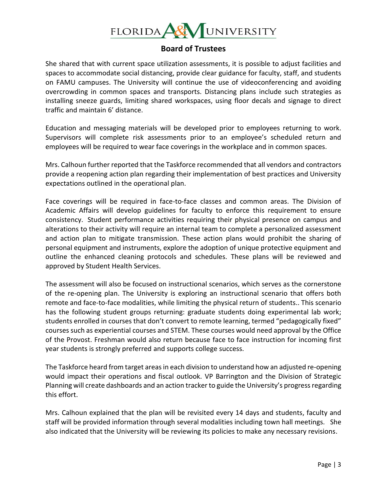

She shared that with current space utilization assessments, it is possible to adjust facilities and spaces to accommodate social distancing, provide clear guidance for faculty, staff, and students on FAMU campuses. The University will continue the use of videoconferencing and avoiding overcrowding in common spaces and transports. Distancing plans include such strategies as installing sneeze guards, limiting shared workspaces, using floor decals and signage to direct traffic and maintain 6' distance.

Education and messaging materials will be developed prior to employees returning to work. Supervisors will complete risk assessments prior to an employee's scheduled return and employees will be required to wear face coverings in the workplace and in common spaces.

Mrs. Calhoun further reported that the Taskforce recommended that all vendors and contractors provide a reopening action plan regarding their implementation of best practices and University expectations outlined in the operational plan.

Face coverings will be required in face-to-face classes and common areas. The Division of Academic Affairs will develop guidelines for faculty to enforce this requirement to ensure consistency. Student performance activities requiring their physical presence on campus and alterations to their activity will require an internal team to complete a personalized assessment and action plan to mitigate transmission. These action plans would prohibit the sharing of personal equipment and instruments, explore the adoption of unique protective equipment and outline the enhanced cleaning protocols and schedules. These plans will be reviewed and approved by Student Health Services.

The assessment will also be focused on instructional scenarios, which serves as the cornerstone of the re-opening plan. The University is exploring an instructional scenario that offers both remote and face-to-face modalities, while limiting the physical return of students.. This scenario has the following student groups returning: graduate students doing experimental lab work; students enrolled in courses that don't convert to remote learning, termed "pedagogically fixed" courses such as experiential courses and STEM. These courses would need approval by the Office of the Provost. Freshman would also return because face to face instruction for incoming first year students is strongly preferred and supports college success.

The Taskforce heard from target areas in each division to understand how an adjusted re-opening would impact their operations and fiscal outlook. VP Barrington and the Division of Strategic Planning will create dashboards and an action tracker to guide the University's progress regarding this effort.

Mrs. Calhoun explained that the plan will be revisited every 14 days and students, faculty and staff will be provided information through several modalities including town hall meetings. She also indicated that the University will be reviewing its policies to make any necessary revisions.